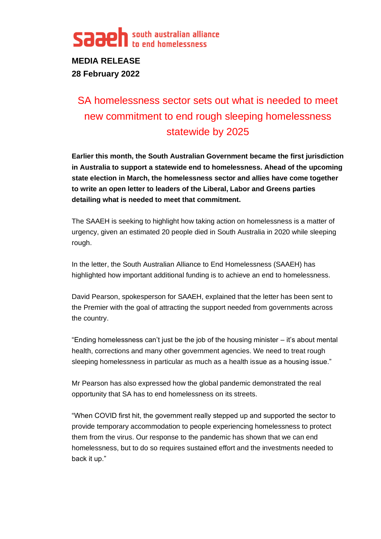

**MEDIA RELEASE 28 February 2022**

# SA homelessness sector sets out what is needed to meet new commitment to end rough sleeping homelessness statewide by 2025

**Earlier this month, the South Australian Government became the first jurisdiction in Australia to support a statewide end to homelessness. Ahead of the upcoming state election in March, the homelessness sector and allies have come together to write an open letter to leaders of the Liberal, Labor and Greens parties detailing what is needed to meet that commitment.** 

The SAAEH is seeking to highlight how taking action on homelessness is a matter of urgency, given an estimated 20 people died in South Australia in 2020 while sleeping rough.

In the letter, the South Australian Alliance to End Homelessness (SAAEH) has highlighted how important additional funding is to achieve an end to homelessness.

David Pearson, spokesperson for SAAEH, explained that the letter has been sent to the Premier with the goal of attracting the support needed from governments across the country.

"Ending homelessness can't just be the job of the housing minister  $-$  it's about mental health, corrections and many other government agencies. We need to treat rough sleeping homelessness in particular as much as a health issue as a housing issue."

Mr Pearson has also expressed how the global pandemic demonstrated the real opportunity that SA has to end homelessness on its streets.

"When COVID first hit, the government really stepped up and supported the sector to provide temporary accommodation to people experiencing homelessness to protect them from the virus. Our response to the pandemic has shown that we can end homelessness, but to do so requires sustained effort and the investments needed to back it up."